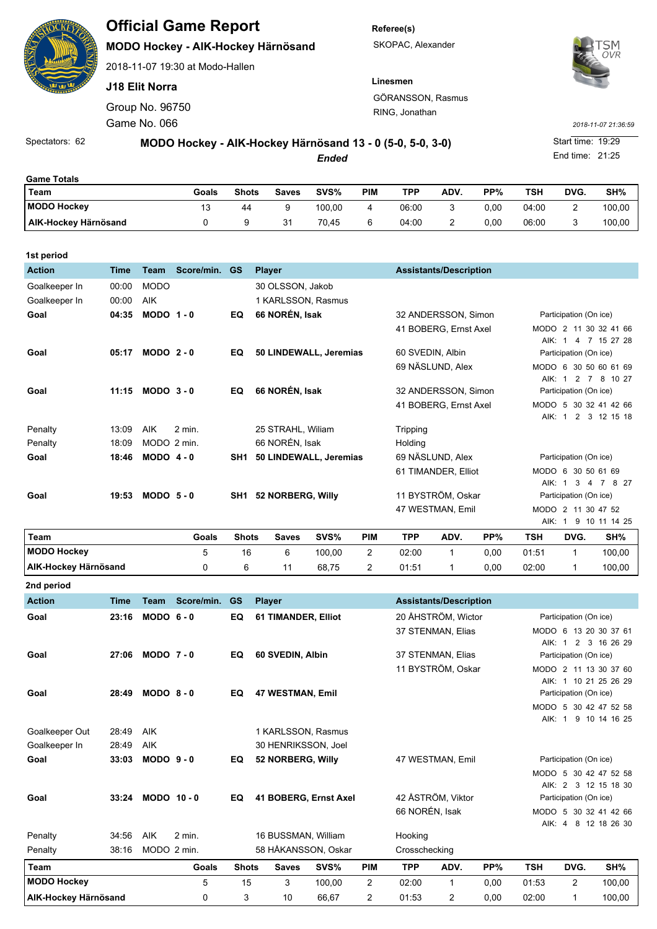|                      |                                                           |                       | <b>Official Game Report</b>        |              |                |              |                    | Referee(s) |                                     |                               |                   |                     |                 |                        |  |  |
|----------------------|-----------------------------------------------------------|-----------------------|------------------------------------|--------------|----------------|--------------|--------------------|------------|-------------------------------------|-------------------------------|-------------------|---------------------|-----------------|------------------------|--|--|
| <u>isi,</u>          |                                                           |                       | MODO Hockey - AIK-Hockey Härnösand |              |                |              |                    |            | SKOPAC, Alexander                   |                               | 'SM<br><b>OVR</b> |                     |                 |                        |  |  |
|                      |                                                           |                       | 2018-11-07 19:30 at Modo-Hallen    |              |                |              |                    |            |                                     |                               |                   |                     |                 |                        |  |  |
|                      |                                                           | <b>J18 Elit Norra</b> |                                    |              |                |              |                    |            | Linesmen                            |                               |                   |                     |                 |                        |  |  |
|                      | Group No. 96750                                           |                       |                                    |              |                |              |                    |            | GÖRANSSON, Rasmus<br>RING, Jonathan |                               |                   |                     |                 |                        |  |  |
|                      | Game No. 066                                              |                       |                                    |              |                |              |                    |            |                                     |                               |                   | 2018-11-07 21:36:59 |                 |                        |  |  |
| Spectators: 62       | MODO Hockey - AIK-Hockey Härnösand 13 - 0 (5-0, 5-0, 3-0) |                       |                                    |              |                |              |                    |            |                                     |                               |                   |                     |                 | Start time: 19:29      |  |  |
|                      |                                                           |                       |                                    |              |                |              | <b>Ended</b>       |            |                                     |                               |                   |                     | End time: 21:25 |                        |  |  |
| <b>Game Totals</b>   |                                                           |                       |                                    |              |                |              |                    |            |                                     |                               |                   |                     |                 |                        |  |  |
| <b>Team</b>          |                                                           |                       | Goals                              | <b>Shots</b> |                | <b>Saves</b> | SVS%               | <b>PIM</b> | <b>TPP</b>                          | ADV.                          | PP%               | <b>TSH</b>          | DVG.            | SH%                    |  |  |
| <b>MODO Hockey</b>   |                                                           |                       | 13                                 | 44           |                | 9            | 100,00             | 4          | 06:00                               | 3                             | 0,00              | 04:00               | $\overline{2}$  | 100,00                 |  |  |
| AIK-Hockey Härnösand |                                                           |                       | 0                                  | 9            |                | 31           | 70,45              | 6          | 04:00                               | 2                             | 0,00              | 06:00               | 3               | 100,00                 |  |  |
| 1st period           |                                                           |                       |                                    |              |                |              |                    |            |                                     |                               |                   |                     |                 |                        |  |  |
| <b>Action</b>        | <b>Time</b>                                               | <b>Team</b>           | Score/min.                         | <b>GS</b>    | <b>Player</b>  |              |                    |            |                                     | <b>Assistants/Description</b> |                   |                     |                 |                        |  |  |
| Goalkeeper In        | 00:00                                                     | <b>MODO</b>           |                                    |              |                |              | 30 OLSSON, Jakob   |            |                                     |                               |                   |                     |                 |                        |  |  |
| Goalkeeper In        | 00:00                                                     | <b>AIK</b>            |                                    |              |                |              | 1 KARLSSON, Rasmus |            |                                     |                               |                   |                     |                 |                        |  |  |
| Goal                 | 04:35                                                     | $MODO$ 1 - 0          |                                    | EQ           | 66 NORÉN, Isak |              |                    |            | 32 ANDERSSON, Simon                 |                               |                   |                     |                 | Participation (On ice) |  |  |

|         |       |              |          |     |                        | 41 BOBERG, Ernst Axel | MODO 2 11 30 32 41 66    |
|---------|-------|--------------|----------|-----|------------------------|-----------------------|--------------------------|
|         |       |              |          |     |                        |                       | AIK: 1 4 7 15 27 28      |
| Goal    | 05:17 | $MODO2 - 0$  |          | EQ  | 50 LINDEWALL, Jeremias | 60 SVEDIN, Albin      | Participation (On ice)   |
|         |       |              |          |     |                        | 69 NÄSLUND. Alex      | MODO 6 30 50 60 61 69    |
|         |       |              |          |     |                        |                       | 8<br>10 27<br>AIK: 1 2 7 |
| Goal    | 11:15 | $MODO$ 3 - 0 |          | EQ  | 66 NORÉN, Isak         | 32 ANDERSSON, Simon   | Participation (On ice)   |
|         |       |              |          |     |                        | 41 BOBERG. Ernst Axel | MODO 5 30 32 41 42 66    |
|         |       |              |          |     |                        |                       | AIK: 1 2 3 12 15 18      |
| Penalty | 13:09 | <b>AIK</b>   | $2$ min. |     | 25 STRAHL, William     | Tripping              |                          |
| Penalty | 18:09 | MODO 2 min.  |          |     | 66 NORÉN, Isak         | Holding               |                          |
| Goal    | 18:46 | $MODO$ 4 - 0 |          | SH1 | 50 LINDEWALL, Jeremias | 69 NÄSLUND. Alex      | Participation (On ice)   |
|         |       |              |          |     |                        | 61 TIMANDER, Elliot   | MODO 6 30 50 61 69       |
|         |       |              |          |     |                        |                       | 8 27<br>AIK: 1 3 4 7     |
| Goal    | 19:53 | $MODO5-0$    |          | SH1 | 52 NORBERG, Willy      | 11 BYSTRÖM, Oskar     | Participation (On ice)   |
|         |       |              |          |     |                        | 47 WESTMAN, Emil      | MODO 2 11 30 47 52       |
|         |       |              |          |     |                        |                       | 9 10 11 14 25<br>AIK: 1  |

| Team                        | Goals | <b>Shots</b> | Saves | SVS%   | PIM | TPP   | <b>ADV</b> | PP%  | TSH   | DVG. | SH%    |
|-----------------------------|-------|--------------|-------|--------|-----|-------|------------|------|-------|------|--------|
| <b>MODO Hockey</b>          |       | 16           |       | 100.00 |     | 02:00 |            | 0.00 | 01:51 |      | 100,00 |
| <b>AIK-Hockey Härnösand</b> |       |              |       | 68,75  |     | 01:51 |            | 0.00 | 02:00 |      | 100,00 |

| 2nd period                     |             |              |            |              |                            |        |                |                |                               |      |                        |                        |                       |  |
|--------------------------------|-------------|--------------|------------|--------------|----------------------------|--------|----------------|----------------|-------------------------------|------|------------------------|------------------------|-----------------------|--|
| <b>Action</b>                  | <b>Time</b> | <b>Team</b>  | Score/min. | <b>GS</b>    | <b>Player</b>              |        |                |                | <b>Assistants/Description</b> |      |                        |                        |                       |  |
| Goal                           | 23:16       | $MODO$ 6 - 0 |            | EQ           | <b>61 TIMANDER, Elliot</b> |        |                |                | 20 ÅHSTRÖM, Wictor            |      | Participation (On ice) |                        |                       |  |
|                                |             |              |            |              |                            |        |                |                | 37 STENMAN, Elias             |      |                        |                        | MODO 6 13 20 30 37 61 |  |
|                                |             |              |            |              |                            |        |                |                |                               |      | AIK: 1                 |                        | 2 3 16 26 29          |  |
| Goal                           | 27:06       | $MODO$ 7 - 0 |            | EQ           | 60 SVEDIN, Albin           |        |                |                | 37 STENMAN, Elias             |      |                        | Participation (On ice) |                       |  |
|                                |             |              |            |              |                            |        |                |                | 11 BYSTRÖM, Oskar             |      |                        |                        | MODO 2 11 13 30 37 60 |  |
|                                |             |              |            |              |                            |        |                |                |                               |      |                        |                        | AIK: 1 10 21 25 26 29 |  |
| Goal                           | 28:49       | $MODO 8 - 0$ |            | EQ           | 47 WESTMAN, Emil           |        |                |                |                               |      |                        | Participation (On ice) |                       |  |
|                                |             |              |            |              |                            |        |                |                |                               |      |                        |                        | MODO 5 30 42 47 52 58 |  |
|                                |             |              |            |              |                            |        |                |                |                               |      |                        | AIK: 1                 | 9 10 14 16 25         |  |
| Goalkeeper Out<br>AIK<br>28:49 |             |              |            |              | 1 KARLSSON, Rasmus         |        |                |                |                               |      |                        |                        |                       |  |
| Goalkeeper In                  | 28:49       | <b>AIK</b>   |            |              | 30 HENRIKSSON, Joel        |        |                |                |                               |      |                        |                        |                       |  |
| Goal                           | 33:03       | $MODO$ 9 - 0 |            | EQ           | 52 NORBERG, Willy          |        |                |                | 47 WESTMAN, Emil              |      | Participation (On ice) |                        |                       |  |
|                                |             |              |            |              |                            |        |                |                |                               |      |                        |                        | MODO 5 30 42 47 52 58 |  |
|                                |             |              |            |              |                            |        |                |                |                               |      |                        |                        | AIK: 2 3 12 15 18 30  |  |
| Goal                           | 33:24       | MODO 10-0    |            | EQ           | 41 BOBERG, Ernst Axel      |        |                |                | 42 ÅSTRÖM, Viktor             |      | Participation (On ice) |                        |                       |  |
|                                |             |              |            |              |                            |        |                | 66 NORÉN, Isak |                               |      | <b>MODO</b>            |                        | 5 30 32 41 42 66      |  |
|                                |             |              |            |              |                            |        |                |                |                               |      |                        | AIK: 4                 | 8 12 18 26 30         |  |
| Penalty                        | 34:56       | <b>AIK</b>   | 2 min.     |              | 16 BUSSMAN, William        |        |                | Hooking        |                               |      |                        |                        |                       |  |
| Penalty                        | 38:16       | MODO 2 min.  |            |              | 58 HÅKANSSON, Oskar        |        |                | Crosschecking  |                               |      |                        |                        |                       |  |
| Team                           |             |              | Goals      | <b>Shots</b> | <b>Saves</b>               | SVS%   | <b>PIM</b>     | <b>TPP</b>     | ADV.                          | PP%  | <b>TSH</b>             | DVG.                   | SH%                   |  |
| <b>MODO Hockey</b>             |             |              | 5          | 15           | 3                          | 100,00 | $\overline{2}$ | 02:00          | 1                             | 0,00 | 01:53                  | 2                      | 100,00                |  |
| AIK-Hockey Härnösand           |             |              | 0          | 3            | 10                         | 66.67  | $\overline{c}$ | 01:53          | $\overline{c}$                | 0.00 | 02:00                  | 1                      | 100.00                |  |